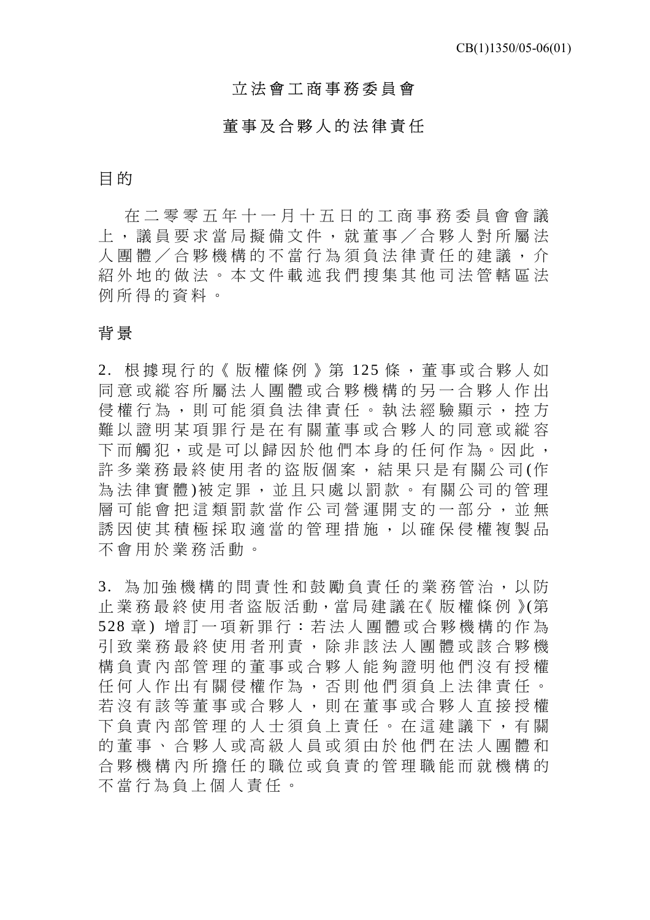## 立法會工商事務委員會

## 董事及合夥人的法律責任

## 目 的

在二零零五年十一月十五日的工商事務委員會會議 上,議員要求當局擬備文件 ,就董事/合夥人對所屬法 人團體/合夥機構的不當行 為須負法律責任的建議,介 紹外地的做法。本文件載述 我們搜集其他司法管轄區法 例所得的資料。

# 背 景

2. 根據現行的《版權條例》第 125 條,董事或合夥人如 同意或縱容所屬法人團體或合夥機構的另一合夥人作出 侵權行為,則可能須負法律 責任。執法經驗顯示,控方 難以證明某項罪行是在有關 董事或合夥人的同意或縱容 下而觸犯,或是可以歸因於他們本身的任何作為。因此, 許多業務最終使用者的盜版個案,結果只是有關公司(作 為法律實體)被定罪,並且只處以罰款。有關公司的管理 層可能會把這類罰款當作公 司營運開支的一部分,並無 誘因使其積極採取適當的管理措施,以確保侵權複製品 不會用於業務活動。

3. 為加強機構的問責性和鼓勵負責任的業務管治,以防 止 業 務 最 終 使 用 者 盜 版 活 動,當 局 建 議 在《 版 權 條 例 》(第 528 章) 增訂一項新罪行:若法人團體或合夥機構的作為 引致業務最終使用者刑責, 除非該法人團體或該合夥機 構負責內部管理的董事或合 夥人能夠證明他們沒有授權 任何人作出有關侵權作為, 否則他們須負上法律責任。 若沒有該等董事或合夥人, 則在董事或合夥人直接授權 下負責內部管理的人士須負 上責任。在這建議下,有關 的董事、合夥人或高級人員或須由於他們在法人團體和 合夥機構內所擔任的職位或 負責的管理職能而就機構的 不當行為負上個人責任。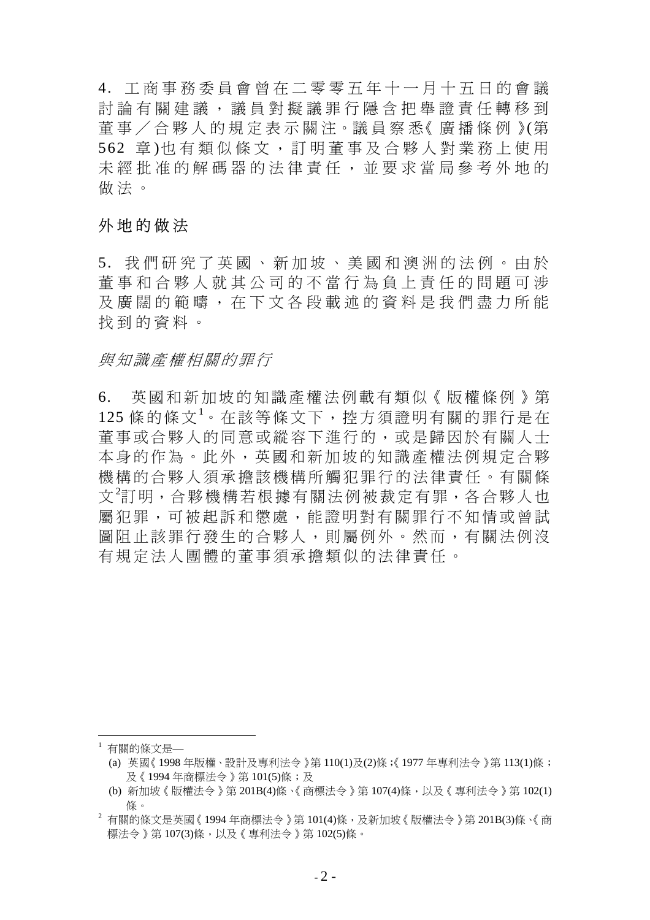4. 工商事務委員會曾在二零零五年十一月十五日的會議 討論有關建議,議員對擬議罪行隱含把舉證責任轉移到 董 事 / 合 夥 人 的 規 定 表 示 關 注。議 員 察 悉《 廣 播 條 例 》(第 562 章)也有類似條文,訂明董事及合夥人對業務上使用 未經批准的解碼器的法律責 任,並要求當局參考外地的 做法。

### 外地的做法

5. 我們研究了英國、新加坡、美國和澳洲的法例。由於 董事和合夥人就其公司的不 當行為負上責任的問題可涉 及廣闊的範疇,在下文各段載述的資料是我們盡力所能 找到的資料。

#### 與知識產權相關的罪行

6. 英國和新加坡的知識產權法例載有類似《版權條例》第 125 條的條文<sup>1</sup>。在該等條文下,控方須證明有關的罪行是在 董事或合夥人的同意或縱容下進行的,或是歸因於有關人士 本身的作為。此外,英國和新加坡的知識產權法例規定合夥 機構的合夥人須承擔該機構所觸犯罪行的法律責任。有關條 文<sup>2</sup>訂明,合夥機構若根據有關法例被裁定有罪,各合夥人也 屬犯罪,可被起訴和懲處,能證明對有關罪行不知情或曾試 圖阻止該罪行發生的合夥人,則屬例外。然而,有關法例沒 有規定法人團體的董事須承擔類似的法律責任。

<sup>1</sup> 有關的條文是—

 $\overline{a}$ 

<sup>(</sup>a) 英國《1998 年版權、設計及專利法令》第 110(1)及(2)條;《1977 年專利法令》第 113(1)條; 及《1994 年商標法令》第 101(5)條;及

<sup>(</sup>b) 新加坡《版權法令》第 201B(4)條、《商標法令》第 107(4)條,以及《專利法令》第 102(1) 條。

 $^2$  有關的條文是英國《1994 年商標法今》第 101(4)條,及新加坡《版權法今》第 201B(3)條、《商 標法令》第 107(3)條,以及《專利法令》第 102(5)條。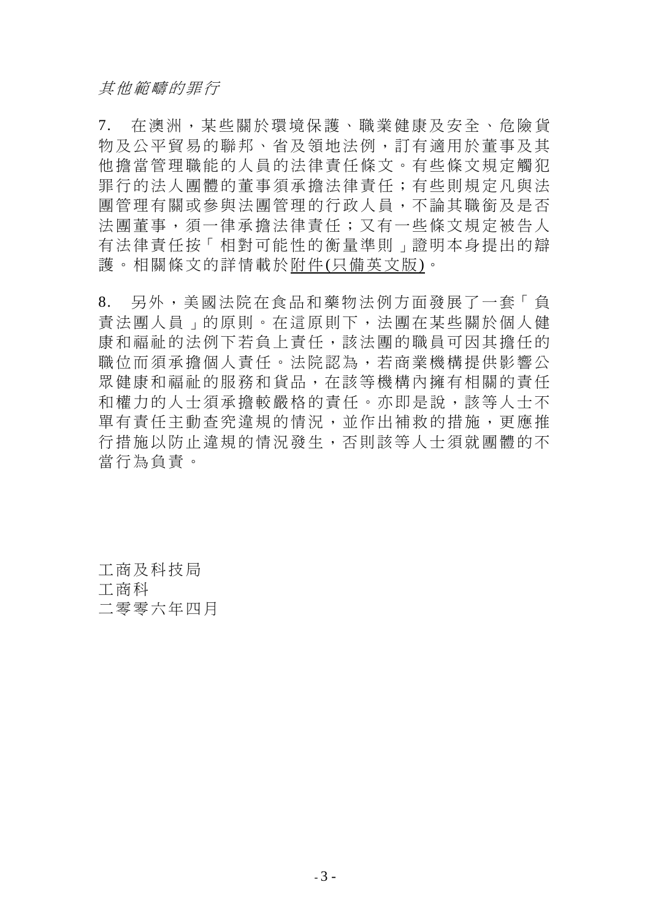7. 在澳洲,某些關於環境保護、職業健康及安全、危險貨 物及公平貿易的聯邦、省及領地法例,訂有適用於董事及其 他擔當管理職能的人員的法律責任條文。有些條文規定觸犯 罪行的法人團體的董事須承擔法律責任;有些則規定凡與法 團管理有關或參與法團管理的行政人員,不論其職銜及是否 法團董事,須一律承擔法律責任;又有一些條文規定被告人 有法律責任按「相對可能性的衡量準則」證明本身提出的辯 護。相關條文的詳情載於附件(只備英文版)。

8. 另外,美國法院在食品和藥物法例方面發展了一套「負 責法團人員」的原則。在這原則下,法團在某些關於個人健 康和福祉的法例下若負上責任,該法團的職員可因其擔任的 職位而須承擔個人責任。法院認為,若商業機構提供影響公 眾健康和福祉的服務和貨品,在該等機構內擁有相關的責任 和權力的人士須承擔較嚴格的責任。亦即是說,該等人士不 單有責任主動查究違規的情況,並作出補救的措施,更應推 行措施以防止違規的情況發生,否則該等人士須就團體的不 當行為負責。

工商及科技局 工商科 二零零六年四月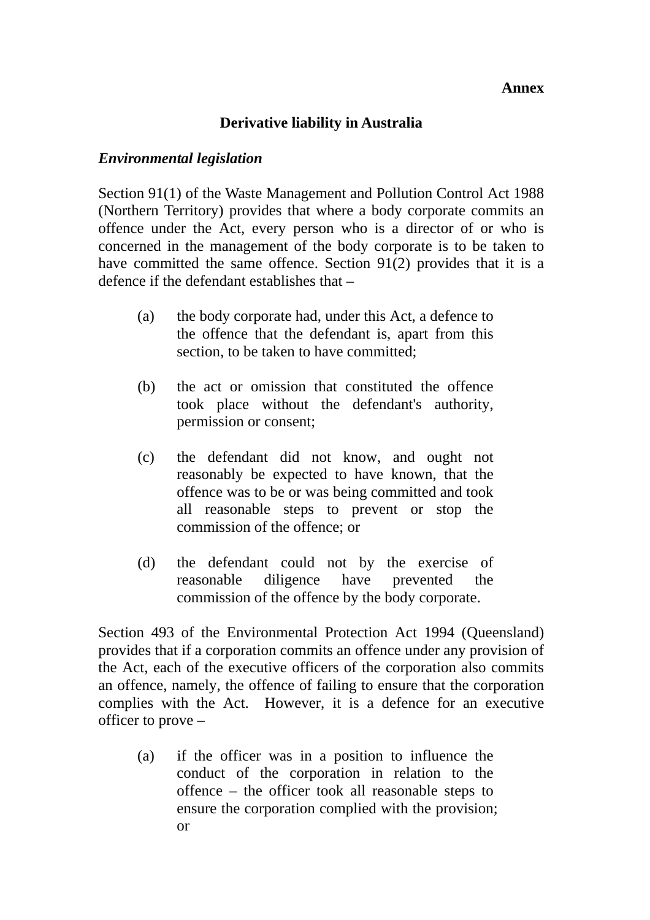#### **Annex**

## **Derivative liability in Australia**

#### *Environmental legislation*

Section 91(1) of the Waste Management and Pollution Control Act 1988 (Northern Territory) provides that where a body corporate commits an offence under the Act, every person who is a director of or who is concerned in the management of the body corporate is to be taken to have committed the same offence. Section 91(2) provides that it is a defence if the defendant establishes that –

- (a) the body corporate had, under this Act, a defence to the offence that the defendant is, apart from this section, to be taken to have committed:
- (b) the act or omission that constituted the offence took place without the defendant's authority, permission or consent;
- (c) the defendant did not know, and ought not reasonably be expected to have known, that the offence was to be or was being committed and took all reasonable steps to prevent or stop the commission of the offence; or
- (d) the defendant could not by the exercise of reasonable diligence have prevented the commission of the offence by the body corporate.

Section 493 of the Environmental Protection Act 1994 (Queensland) provides that if a corporation commits an offence under any provision of the Act, each of the executive officers of the corporation also commits an offence, namely, the offence of failing to ensure that the corporation complies with the Act. However, it is a defence for an executive officer to prove –

(a) if the officer was in a position to influence the conduct of the corporation in relation to the offence – the officer took all reasonable steps to ensure the corporation complied with the provision; or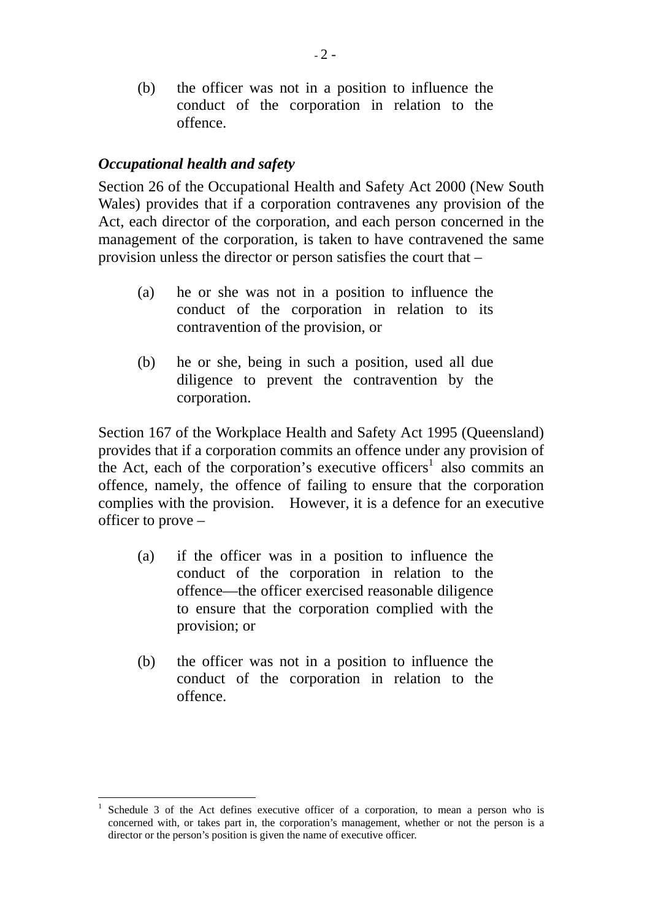(b) the officer was not in a position to influence the conduct of the corporation in relation to the offence.

# *Occupational health and safety*

Section 26 of the Occupational Health and Safety Act 2000 (New South Wales) provides that if a corporation contravenes any provision of the Act, each director of the corporation, and each person concerned in the management of the corporation, is taken to have contravened the same provision unless the director or person satisfies the court that –

- (a) he or she was not in a position to influence the conduct of the corporation in relation to its contravention of the provision, or
- (b) he or she, being in such a position, used all due diligence to prevent the contravention by the corporation.

Section 167 of the Workplace Health and Safety Act 1995 (Queensland) provides that if a corporation commits an offence under any provision of the Act, each of the corporation's executive officers<sup>1</sup> also commits an offence, namely, the offence of failing to ensure that the corporation complies with the provision. However, it is a defence for an executive officer to prove –

- (a) if the officer was in a position to influence the conduct of the corporation in relation to the offence—the officer exercised reasonable diligence to ensure that the corporation complied with the provision; or
- (b) the officer was not in a position to influence the conduct of the corporation in relation to the offence.

 $\overline{a}$ 1 Schedule 3 of the Act defines executive officer of a corporation, to mean a person who is concerned with, or takes part in, the corporation's management, whether or not the person is a director or the person's position is given the name of executive officer.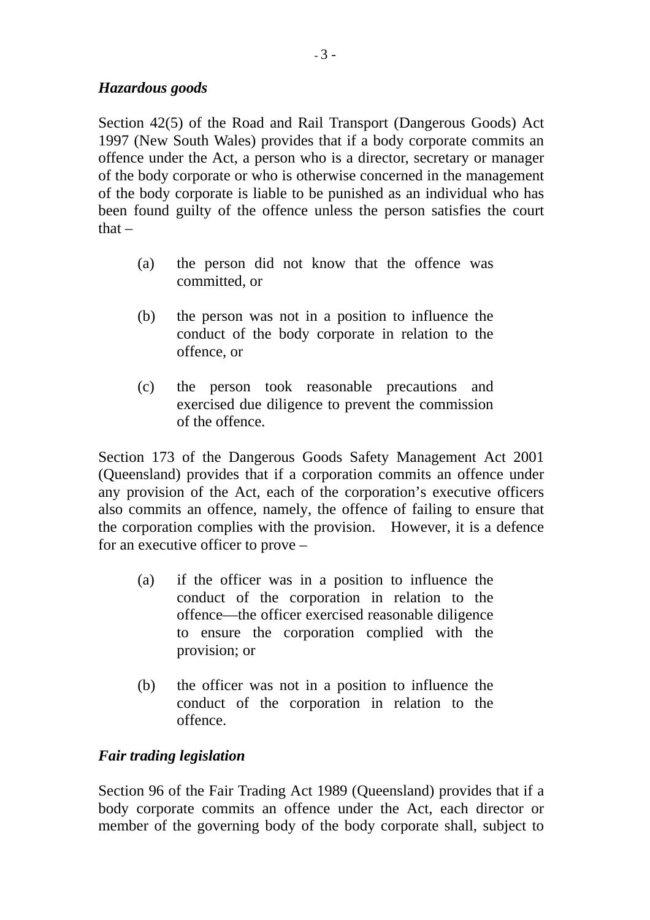# *Hazardous goods*

Section 42(5) of the Road and Rail Transport (Dangerous Goods) Act 1997 (New South Wales) provides that if a body corporate commits an offence under the Act, a person who is a director, secretary or manager of the body corporate or who is otherwise concerned in the management of the body corporate is liable to be punished as an individual who has been found guilty of the offence unless the person satisfies the court that  $-$ 

- (a) the person did not know that the offence was committed, or
- (b) the person was not in a position to influence the conduct of the body corporate in relation to the offence, or
- (c) the person took reasonable precautions and exercised due diligence to prevent the commission of the offence.

Section 173 of the Dangerous Goods Safety Management Act 2001 (Queensland) provides that if a corporation commits an offence under any provision of the Act, each of the corporation's executive officers also commits an offence, namely, the offence of failing to ensure that the corporation complies with the provision. However, it is a defence for an executive officer to prove –

- (a) if the officer was in a position to influence the conduct of the corporation in relation to the offence—the officer exercised reasonable diligence to ensure the corporation complied with the provision; or
- (b) the officer was not in a position to influence the conduct of the corporation in relation to the offence.

## *Fair trading legislation*

Section 96 of the Fair Trading Act 1989 (Queensland) provides that if a body corporate commits an offence under the Act, each director or member of the governing body of the body corporate shall, subject to